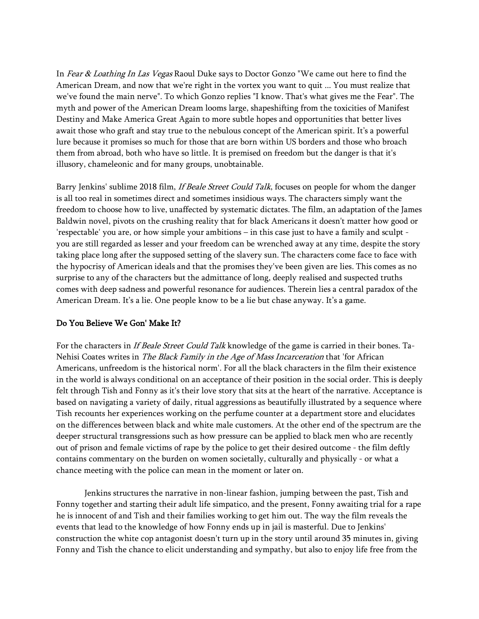In Fear & Loathing In Las Vegas Raoul Duke says to Doctor Gonzo "We came out here to find the American Dream, and now that we're right in the vortex you want to quit ... You must realize that we've found the main nerve". To which Gonzo replies "I know. That's what gives me the Fear". The myth and power of the American Dream looms large, shapeshifting from the toxicities of Manifest Destiny and Make America Great Again to more subtle hopes and opportunities that better lives await those who graft and stay true to the nebulous concept of the American spirit. It's a powerful lure because it promises so much for those that are born within US borders and those who broach them from abroad, both who have so little. It is premised on freedom but the danger is that it's illusory, chameleonic and for many groups, unobtainable.

Barry Jenkins' sublime 2018 film, *If Beale Street Could Talk*, focuses on people for whom the danger is all too real in sometimes direct and sometimes insidious ways. The characters simply want the freedom to choose how to live, unaffected by systematic dictates. The film, an adaptation of the James Baldwin novel, pivots on the crushing reality that for black Americans it doesn't matter how good or 'respectable' you are, or how simple your ambitions – in this case just to have a family and sculpt you are still regarded as lesser and your freedom can be wrenched away at any time, despite the story taking place long after the supposed setting of the slavery sun. The characters come face to face with the hypocrisy of American ideals and that the promises they've been given are lies. This comes as no surprise to any of the characters but the admittance of long, deeply realised and suspected truths comes with deep sadness and powerful resonance for audiences. Therein lies a central paradox of the American Dream. It's a lie. One people know to be a lie but chase anyway. It's a game.

## Do You Believe We Gon' Make It?

For the characters in If Beale Street Could Talk knowledge of the game is carried in their bones. Ta-Nehisi Coates writes in The Black Family in the Age of Mass Incarceration that 'for African Americans, unfreedom is the historical norm'. For all the black characters in the film their existence in the world is always conditional on an acceptance of their position in the social order. This is deeply felt through Tish and Fonny as it's their love story that sits at the heart of the narrative. Acceptance is based on navigating a variety of daily, ritual aggressions as beautifully illustrated by a sequence where Tish recounts her experiences working on the perfume counter at a department store and elucidates on the differences between black and white male customers. At the other end of the spectrum are the deeper structural transgressions such as how pressure can be applied to black men who are recently out of prison and female victims of rape by the police to get their desired outcome - the film deftly contains commentary on the burden on women societally, culturally and physically - or what a chance meeting with the police can mean in the moment or later on.

Jenkins structures the narrative in non-linear fashion, jumping between the past, Tish and Fonny together and starting their adult life simpatico, and the present, Fonny awaiting trial for a rape he is innocent of and Tish and their families working to get him out. The way the film reveals the events that lead to the knowledge of how Fonny ends up in jail is masterful. Due to Jenkins' construction the white cop antagonist doesn't turn up in the story until around 35 minutes in, giving Fonny and Tish the chance to elicit understanding and sympathy, but also to enjoy life free from the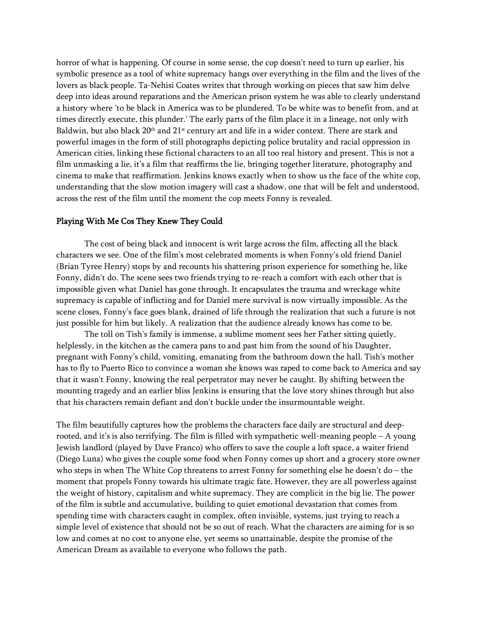horror of what is happening. Of course in some sense, the cop doesn't need to turn up earlier, his symbolic presence as a tool of white supremacy hangs over everything in the film and the lives of the lovers as black people. Ta-Nehisi Coates writes that through working on pieces that saw him delve deep into ideas around reparations and the American prison system he was able to clearly understand a history where 'to be black in America was to be plundered. To be white was to benefit from, and at times directly execute, this plunder.' The early parts of the film place it in a lineage, not only with Baldwin, but also black 20<sup>th</sup> and 21<sup>st</sup> century art and life in a wider context. There are stark and powerful images in the form of still photographs depicting police brutality and racial oppression in American cities, linking these fictional characters to an all too real history and present. This is not a film unmasking a lie, it's a film that reaffirms the lie, bringing together literature, photography and cinema to make that reaffirmation. Jenkins knows exactly when to show us the face of the white cop, understanding that the slow motion imagery will cast a shadow, one that will be felt and understood, across the rest of the film until the moment the cop meets Fonny is revealed.

## Playing With Me Cos They Knew They Could

The cost of being black and innocent is writ large across the film, affecting all the black characters we see. One of the film's most celebrated moments is when Fonny's old friend Daniel (Brian Tyree Henry) stops by and recounts his shattering prison experience for something he, like Fonny, didn't do. The scene sees two friends trying to re-reach a comfort with each other that is impossible given what Daniel has gone through. It encapsulates the trauma and wreckage white supremacy is capable of inflicting and for Daniel mere survival is now virtually impossible. As the scene closes, Fonny's face goes blank, drained of life through the realization that such a future is not just possible for him but likely. A realization that the audience already knows has come to be.

The toll on Tish's family is immense, a sublime moment sees her Father sitting quietly, helplessly, in the kitchen as the camera pans to and past him from the sound of his Daughter, pregnant with Fonny's child, vomiting, emanating from the bathroom down the hall. Tish's mother has to fly to Puerto Rico to convince a woman she knows was raped to come back to America and say that it wasn't Fonny, knowing the real perpetrator may never be caught. By shifting between the mounting tragedy and an earlier bliss Jenkins is ensuring that the love story shines through but also that his characters remain defiant and don't buckle under the insurmountable weight.

The film beautifully captures how the problems the characters face daily are structural and deeprooted, and it's is also terrifying. The film is filled with sympathetic well-meaning people – A young Jewish landlord (played by Dave Franco) who offers to save the couple a loft space, a waiter friend (Diego Luna) who gives the couple some food when Fonny comes up short and a grocery store owner who steps in when The White Cop threatens to arrest Fonny for something else he doesn't do – the moment that propels Fonny towards his ultimate tragic fate. However, they are all powerless against the weight of history, capitalism and white supremacy. They are complicit in the big lie. The power of the film is subtle and accumulative, building to quiet emotional devastation that comes from spending time with characters caught in complex, often invisible, systems, just trying to reach a simple level of existence that should not be so out of reach. What the characters are aiming for is so low and comes at no cost to anyone else, yet seems so unattainable, despite the promise of the American Dream as available to everyone who follows the path.